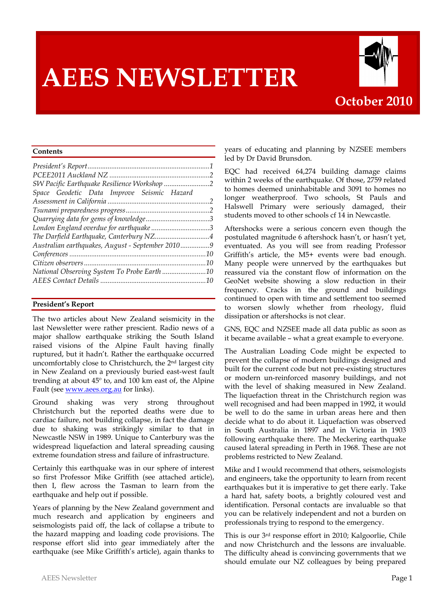# **AEES NEWSLETTER**



#### **Contents**

| Space Geodetic Data Improve Seismic Hazard       |  |
|--------------------------------------------------|--|
|                                                  |  |
|                                                  |  |
|                                                  |  |
| London England overdue for earthquake 3          |  |
| The Darfield Earthquake, Canterbury NZ4          |  |
| Australian earthquakes, August - September 20109 |  |
|                                                  |  |
|                                                  |  |
| National Observing System To Probe Earth 10      |  |
|                                                  |  |

#### **President's Report**

The two articles about New Zealand seismicity in the last Newsletter were rather prescient. Radio news of a major shallow earthquake striking the South Island raised visions of the Alpine Fault having finally ruptured, but it hadn't. Rather the earthquake occurred uncomfortably close to Christchurch, the 2nd largest city in New Zealand on a previously buried east-west fault trending at about 45º to, and 100 km east of, the Alpine Fault (see www.aees.org.au for links).

Ground shaking was very strong throughout Christchurch but the reported deaths were due to cardiac failure, not building collapse, in fact the damage due to shaking was strikingly similar to that in Newcastle NSW in 1989. Unique to Canterbury was the widespread liquefaction and lateral spreading causing extreme foundation stress and failure of infrastructure.

Certainly this earthquake was in our sphere of interest so first Professor Mike Griffith (see attached article), then I, flew across the Tasman to learn from the earthquake and help out if possible.

Years of planning by the New Zealand government and much research and application by engineers and seismologists paid off, the lack of collapse a tribute to the hazard mapping and loading code provisions. The response effort slid into gear immediately after the earthquake (see Mike Griffith's article), again thanks to years of educating and planning by NZSEE members led by Dr David Brunsdon.

EQC had received 64,274 building damage claims within 2 weeks of the earthquake. Of those, 2759 related to homes deemed uninhabitable and 3091 to homes no longer weatherproof. Two schools, St Pauls and Halswell Primary were seriously damaged, their students moved to other schools cf 14 in Newcastle.

Aftershocks were a serious concern even though the postulated magnitude 6 aftershock hasn't, or hasn't yet, eventuated. As you will see from reading Professor Griffith's article, the M5+ events were bad enough. Many people were unnerved by the earthquakes but reassured via the constant flow of information on the GeoNet website showing a slow reduction in their frequency. Cracks in the ground and buildings continued to open with time and settlement too seemed to worsen slowly whether from rheology, fluid dissipation or aftershocks is not clear.

GNS, EQC and NZSEE made all data public as soon as it became available – what a great example to everyone.

The Australian Loading Code might be expected to prevent the collapse of modern buildings designed and built for the current code but not pre-existing structures or modern un-reinforced masonry buildings, and not with the level of shaking measured in New Zealand. The liquefaction threat in the Christchurch region was well recognised and had been mapped in 1992, it would be well to do the same in urban areas here and then decide what to do about it. Liquefaction was observed in South Australia in 1897 and in Victoria in 1903 following earthquake there. The Meckering earthquake caused lateral spreading in Perth in 1968. These are not problems restricted to New Zealand.

Mike and I would recommend that others, seismologists and engineers, take the opportunity to learn from recent earthquakes but it is imperative to get there early. Take a hard hat, safety boots, a brightly coloured vest and identification. Personal contacts are invaluable so that you can be relatively independent and not a burden on professionals trying to respond to the emergency.

This is our 3rd response effort in 2010; Kalgoorlie, Chile and now Christchurch and the lessons are invaluable. The difficulty ahead is convincing governments that we should emulate our NZ colleagues by being prepared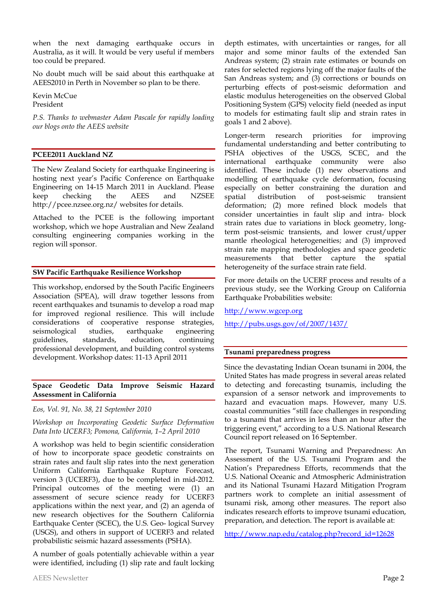when the next damaging earthquake occurs in Australia, as it will. It would be very useful if members too could be prepared.

No doubt much will be said about this earthquake at AEES2010 in Perth in November so plan to be there.

Kevin McCue President

*P.S. Thanks to webmaster Adam Pascale for rapidly loading our blogs onto the AEES website*

#### **PCEE2011 Auckland NZ**

The New Zealand Society for earthquake Engineering is hosting next year's Pacific Conference on Earthquake Engineering on 14-15 March 2011 in Auckland. Please keep checking the AEES and NZSEE http://pcee.nzsee.org.nz/ websites for details.

Attached to the PCEE is the following important workshop, which we hope Australian and New Zealand consulting engineering companies working in the region will sponsor.

#### **SW Pacific Earthquake Resilience Workshop**

This workshop, endorsed by the South Pacific Engineers Association (SPEA), will draw together lessons from recent earthquakes and tsunamis to develop a road map for improved regional resilience. This will include considerations of cooperative response strategies, seismological studies, earthquake engineering guidelines, standards, education, continuing professional development, and building control systems development. Workshop dates: 11-13 April 2011

#### **Space Geodetic Data Improve Seismic Hazard Assessment in California**

*Eos, Vol. 91, No. 38, 21 September 2010*

*Workshop on Incorporating Geodetic Surface Deformation Data Into UCERF3; Pomona, California, 1–2 April 2010*

A workshop was held to begin scientific consideration of how to incorporate space geodetic constraints on strain rates and fault slip rates into the next generation Uniform California Earthquake Rupture Forecast, version 3 (UCERF3), due to be completed in mid-2012. Principal outcomes of the meeting were (1) an assessment of secure science ready for UCERF3 applications within the next year, and (2) an agenda of new research objectives for the Southern California Earthquake Center (SCEC), the U.S. Geo- logical Survey (USGS), and others in support of UCERF3 and related probabilistic seismic hazard assessments (PSHA).

A number of goals potentially achievable within a year were identified, including (1) slip rate and fault locking depth estimates, with uncertainties or ranges, for all major and some minor faults of the extended San Andreas system; (2) strain rate estimates or bounds on rates for selected regions lying off the major faults of the San Andreas system; and (3) corrections or bounds on perturbing effects of post-seismic deformation and elastic modulus heterogeneities on the observed Global Positioning System (GPS) velocity field (needed as input to models for estimating fault slip and strain rates in goals 1 and 2 above).

Longer-term research priorities for improving fundamental understanding and better contributing to PSHA objectives of the USGS, SCEC, and the international earthquake community were also identified. These include (1) new observations and modelling of earthquake cycle deformation, focusing especially on better constraining the duration and spatial distribution of post-seismic transient deformation; (2) more refined block models that consider uncertainties in fault slip and intra- block strain rates due to variations in block geometry, longterm post-seismic transients, and lower crust/upper mantle rheological heterogeneities; and (3) improved strain rate mapping methodologies and space geodetic measurements that better capture the spatial heterogeneity of the surface strain rate field.

For more details on the UCERF process and results of a previous study, see the Working Group on California Earthquake Probabilities website:

http://www.wgcep.org

http://pubs.usgs.gov/of/2007/1437/

#### **Tsunami preparedness progress**

Since the devastating Indian Ocean tsunami in 2004, the United States has made progress in several areas related to detecting and forecasting tsunamis, including the expansion of a sensor network and improvements to hazard and evacuation maps. However, many U.S. coastal communities "still face challenges in responding to a tsunami that arrives in less than an hour after the triggering event," according to a U.S. National Research Council report released on 16 September.

The report, Tsunami Warning and Preparedness: An Assessment of the U.S. Tsunami Program and the Nation's Preparedness Efforts, recommends that the U.S. National Oceanic and Atmospheric Administration and its National Tsunami Hazard Mitigation Program partners work to complete an initial assessment of tsunami risk, among other measures. The report also indicates research efforts to improve tsunami education, preparation, and detection. The report is available at:

http://www.nap.edu/catalog.php?record\_id=12628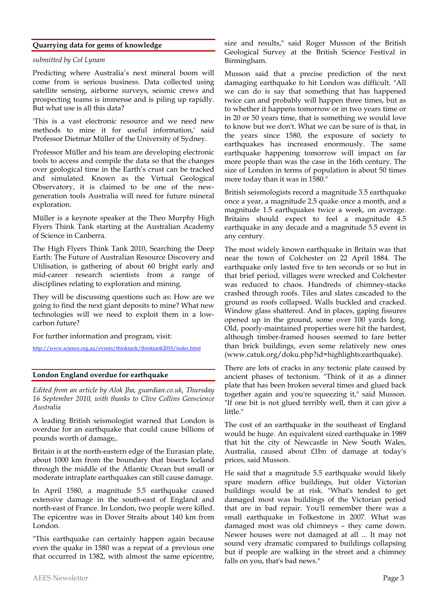#### **Quarrying data for gems of knowledge**

#### *submitted by Col Lynam*

Predicting where Australia's next mineral boom will come from is serious business. Data collected using satellite sensing, airborne surveys, seismic crews and prospecting teams is immense and is piling up rapidly. But what use is all this data?

'This is a vast electronic resource and we need new methods to mine it for useful information,' said Professor Dietmar Müller of the University of Sydney.

Professor Müller and his team are developing electronic tools to access and compile the data so that the changes over geological time in the Earth's crust can be tracked and simulated. Known as the Virtual Geological Observatory, it is claimed to be one of the newgeneration tools Australia will need for future mineral exploration.

Müller is a keynote speaker at the Theo Murphy High Flyers Think Tank starting at the Australian Academy of Science in Canberra.

The High Flyers Think Tank 2010, Searching the Deep Earth: The Future of Australian Resource Discovery and Utilisation, is gathering of about 60 bright early and mid-career research scientists from a range of disciplines relating to exploration and mining.

They will be discussing questions such as: How are we going to find the next giant deposits to mine? What new technologies will we need to exploit them in a lowcarbon future?

For further information and program, visit:

http://www.science.org.au/events/thinktank/thinktank2010/index.html

#### **London England overdue for earthquake**

*Edited from an article by Alok Jha, guardian.co.uk, Thursday 16 September 2010, with thanks to Clive Collins Geoscience Australia*

A leading British seismologist warned that London is overdue for an earthquake that could cause billions of pounds worth of damage,.

Britain is at the north-eastern edge of the Eurasian plate, about 1000 km from the boundary that bisects Iceland through the middle of the Atlantic Ocean but small or moderate intraplate earthquakes can still cause damage.

In April 1580, a magnitude 5.5 earthquake caused extensive damage in the south-east of England and north-east of France. In London, two people were killed. The epicentre was in Dover Straits about 140 km from London.

"This earthquake can certainly happen again because even the quake in 1580 was a repeat of a previous one that occurred in 1382, with almost the same epicentre,

Musson said that a precise prediction of the next damaging earthquake to hit London was difficult. "All we can do is say that something that has happened twice can and probably will happen three times, but as to whether it happens tomorrow or in two years time or in 20 or 50 years time, that is something we would love to know but we don't. What we can be sure of is that, in the years since 1580, the exposure of society to earthquakes has increased enormously. The same earthquake happening tomorrow will impact on far more people than was the case in the 16th century. The size of London in terms of population is about 50 times more today than it was in 1580."

British seismologists record a magnitude 3.5 earthquake once a year, a magnitude 2.5 quake once a month, and a magnitude 1.5 earthquakes twice a week, on average. Britains should expect to feel a magnitude 4.5 earthquake in any decade and a magnitude 5.5 event in any century.

The most widely known earthquake in Britain was that near the town of Colchester on 22 April 1884. The earthquake only lasted five to ten seconds or so but in that brief period, villages were wrecked and Colchester was reduced to chaos. Hundreds of chimney-stacks crashed through roofs. Tiles and slates cascaded to the ground as roofs collapsed. Walls buckled and cracked. Window glass shattered. And in places, gaping fissures opened up in the ground, some over 100 yards long. Old, poorly-maintained properties were hit the hardest, although timber-framed houses seemed to fare better than brick buildings, even some relatively new ones (www.catuk.org/doku.php?id=highlights:earthquake).

There are lots of cracks in any tectonic plate caused by ancient phases of tectonism. "Think of it as a dinner plate that has been broken several times and glued back together again and you're squeezing it," said Musson. "If one bit is not glued terribly well, then it can give a little."

The cost of an earthquake in the southeast of England would be huge. An equivalent sized earthquake in 1989 that hit the city of Newcastle in New South Wales, Australia, caused about £1bn of damage at today's prices, said Musson.

He said that a magnitude 5.5 earthquake would likely spare modern office buildings, but older Victorian buildings would be at risk. "What's tended to get damaged most was buildings of the Victorian period that are in bad repair. You'll remember there was a small earthquake in Folkestone in 2007. What was damaged most was old chimneys – they came down. Newer houses were not damaged at all ... It may not sound very dramatic compared to buildings collapsing but if people are walking in the street and a chimney falls on you, that's bad news."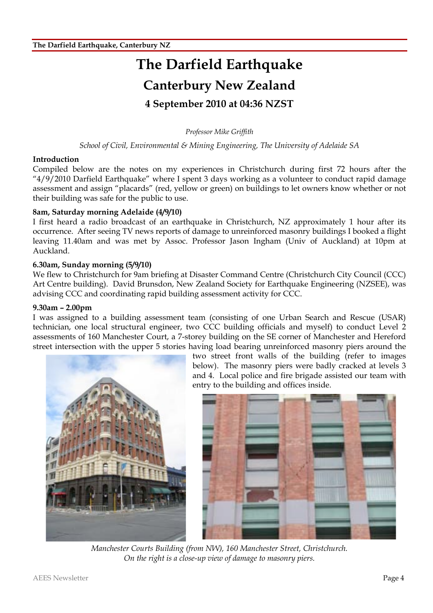## **The Darfield Earthquake Canterbury New Zealand 4 September 2010 at 04:36 NZST**

*Professor Mike Griffith*

*School of Civil, Environmental & Mining Engineering, The University of Adelaide SA*

#### **Introduction**

Compiled below are the notes on my experiences in Christchurch during first 72 hours after the "4/9/2010 Darfield Earthquake" where I spent 3 days working as a volunteer to conduct rapid damage assessment and assign "placards" (red, yellow or green) on buildings to let owners know whether or not their building was safe for the public to use.

#### **8am, Saturday morning Adelaide (4/9/10)**

I first heard a radio broadcast of an earthquake in Christchurch, NZ approximately 1 hour after its occurrence. After seeing TV news reports of damage to unreinforced masonry buildings I booked a flight leaving 11.40am and was met by Assoc. Professor Jason Ingham (Univ of Auckland) at 10pm at Auckland.

#### **6.30am, Sunday morning (5/9/10)**

We flew to Christchurch for 9am briefing at Disaster Command Centre (Christchurch City Council (CCC) Art Centre building). David Brunsdon, New Zealand Society for Earthquake Engineering (NZSEE), was advising CCC and coordinating rapid building assessment activity for CCC.

#### **9.30am – 2.00pm**

I was assigned to a building assessment team (consisting of one Urban Search and Rescue (USAR) technician, one local structural engineer, two CCC building officials and myself) to conduct Level 2 assessments of 160 Manchester Court, a 7-storey building on the SE corner of Manchester and Hereford street intersection with the upper 5 stories having load bearing unreinforced masonry piers around the



two street front walls of the building (refer to images below). The masonry piers were badly cracked at levels 3 and 4. Local police and fire brigade assisted our team with entry to the building and offices inside.



*Manchester Courts Building (from NW), 160 Manchester Street, Christchurch. On the right is a close-up view of damage to masonry piers.*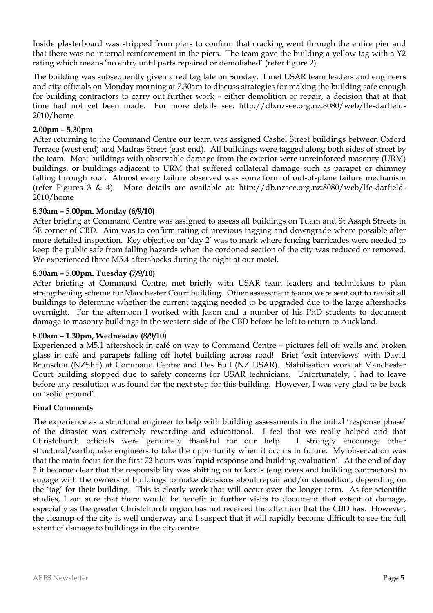Inside plasterboard was stripped from piers to confirm that cracking went through the entire pier and that there was no internal reinforcement in the piers. The team gave the building a yellow tag with a Y2 rating which means 'no entry until parts repaired or demolished' (refer figure 2).

The building was subsequently given a red tag late on Sunday. I met USAR team leaders and engineers and city officials on Monday morning at 7.30am to discuss strategies for making the building safe enough for building contractors to carry out further work – either demolition or repair, a decision that at that time had not yet been made. For more details see: http://db.nzsee.org.nz:8080/web/lfe-darfield-2010/home

#### **2.00pm – 5.30pm**

After returning to the Command Centre our team was assigned Cashel Street buildings between Oxford Terrace (west end) and Madras Street (east end). All buildings were tagged along both sides of street by the team. Most buildings with observable damage from the exterior were unreinforced masonry (URM) buildings, or buildings adjacent to URM that suffered collateral damage such as parapet or chimney falling through roof. Almost every failure observed was some form of out-of-plane failure mechanism (refer Figures 3 & 4). More details are available at: http://db.nzsee.org.nz:8080/web/lfe-darfield-2010/home

#### **8.30am – 5.00pm. Monday (6/9/10)**

After briefing at Command Centre was assigned to assess all buildings on Tuam and St Asaph Streets in SE corner of CBD. Aim was to confirm rating of previous tagging and downgrade where possible after more detailed inspection. Key objective on 'day 2' was to mark where fencing barricades were needed to keep the public safe from falling hazards when the cordoned section of the city was reduced or removed. We experienced three M5.4 aftershocks during the night at our motel.

#### **8.30am – 5.00pm. Tuesday (7/9/10)**

After briefing at Command Centre, met briefly with USAR team leaders and technicians to plan strengthening scheme for Manchester Court building. Other assessment teams were sent out to revisit all buildings to determine whether the current tagging needed to be upgraded due to the large aftershocks overnight. For the afternoon I worked with Jason and a number of his PhD students to document damage to masonry buildings in the western side of the CBD before he left to return to Auckland.

#### **8.00am – 1.30pm, Wednesday (8/9/10)**

Experienced a M5.1 aftershock in café on way to Command Centre – pictures fell off walls and broken glass in café and parapets falling off hotel building across road! Brief 'exit interviews' with David Brunsdon (NZSEE) at Command Centre and Des Bull (NZ USAR). Stabilisation work at Manchester Court building stopped due to safety concerns for USAR technicians. Unfortunately, I had to leave before any resolution was found for the next step for this building. However, I was very glad to be back on 'solid ground'.

#### **Final Comments**

The experience as a structural engineer to help with building assessments in the initial 'response phase' of the disaster was extremely rewarding and educational. I feel that we really helped and that Christchurch officials were genuinely thankful for our help. I strongly encourage other structural/earthquake engineers to take the opportunity when it occurs in future. My observation was that the main focus for the first 72 hours was 'rapid response and building evaluation'. At the end of day 3 it became clear that the responsibility was shifting on to locals (engineers and building contractors) to engage with the owners of buildings to make decisions about repair and/or demolition, depending on the 'tag' for their building. This is clearly work that will occur over the longer term. As for scientific studies, I am sure that there would be benefit in further visits to document that extent of damage, especially as the greater Christchurch region has not received the attention that the CBD has. However, the cleanup of the city is well underway and I suspect that it will rapidly become difficult to see the full extent of damage to buildings in the city centre.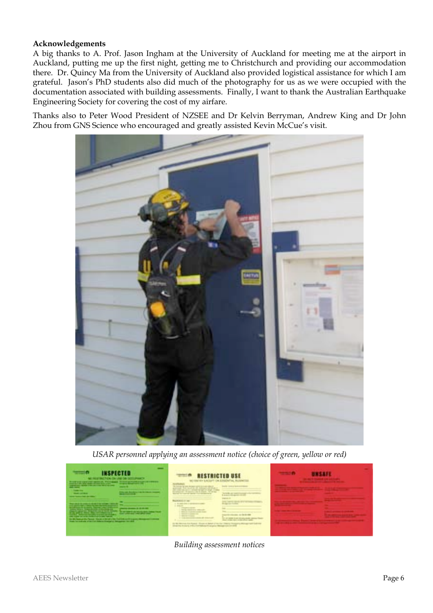#### **Acknowledgements**

A big thanks to A. Prof. Jason Ingham at the University of Auckland for meeting me at the airport in Auckland, putting me up the first night, getting me to Christchurch and providing our accommodation there. Dr. Quincy Ma from the University of Auckland also provided logistical assistance for which I am grateful. Jason's PhD students also did much of the photography for us as we were occupied with the documentation associated with building assessments. Finally, I want to thank the Australian Earthquake Engineering Society for covering the cost of my airfare.

Thanks also to Peter Wood President of NZSEE and Dr Kelvin Berryman, Andrew King and Dr John Zhou from GNS Science who encouraged and greatly assisted Kevin McCue's visit.



*USAR personnel applying an assessment notice (choice of green, yellow or red)*



*Building assessment notices*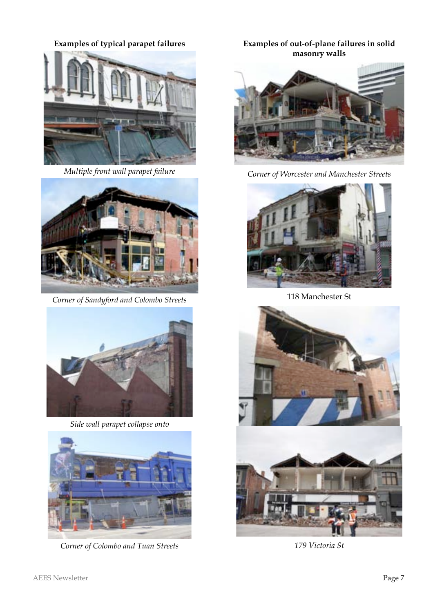**Examples of typical parapet failures**



*Multiple front wall parapet failure*



*Corner of Sandyford and Colombo Streets*



*Side wall parapet collapse onto*



*Corner of Colombo and Tuan Streets*

### **Examples of out-of-plane failures in solid masonry walls**



*Corner of Worcester and Manchester Streets*



118 Manchester St





*179 Victoria St*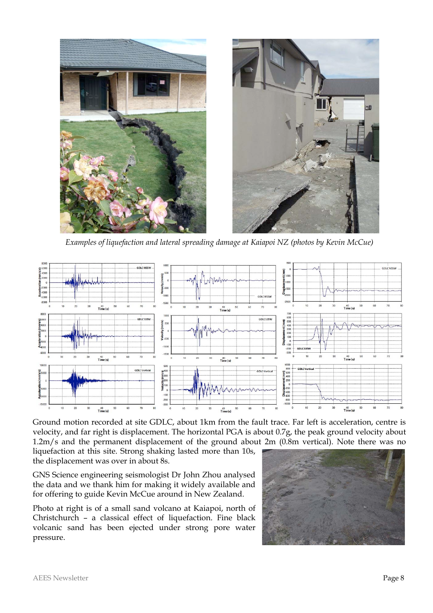

*Examples of liquefaction and lateral spreading damage at Kaiapoi NZ (photos by Kevin McCue)*



Ground motion recorded at site GDLC, about 1km from the fault trace. Far left is acceleration, centre is velocity, and far right is displacement. The horizontal PGA is about 0.7g, the peak ground velocity about 1.2m/s and the permanent displacement of the ground about 2m (0.8m vertical). Note there was no

liquefaction at this site. Strong shaking lasted more than 10s, the displacement was over in about 8s.

GNS Science engineering seismologist Dr John Zhou analysed the data and we thank him for making it widely available and for offering to guide Kevin McCue around in New Zealand.

Photo at right is of a small sand volcano at Kaiapoi, north of Christchurch – a classical effect of liquefaction. Fine black volcanic sand has been ejected under strong pore water pressure.

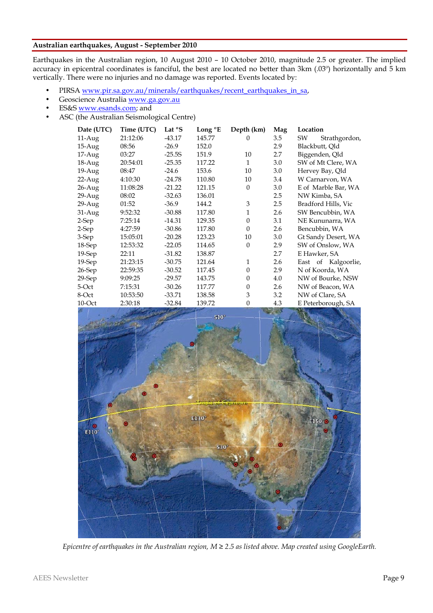#### **Australian earthquakes, August - September 2010**

Earthquakes in the Australian region, 10 August 2010 – 10 October 2010, magnitude 2.5 or greater. The implied accuracy in epicentral coordinates is fanciful, the best are located no better than 3km (.03º) horizontally and 5 km vertically. There were no injuries and no damage was reported. Events located by:

- PIRSA www.pir.sa.gov.au/minerals/earthquakes/recent\_earthquakes\_in\_sa,
- Geoscience Australia www.ga.gov.au
- ES&S www.esands.com; and
- ASC (the Australian Seismological Centre)

| Date (UTC) | Time (UTC) | Lat $\mathrm{^{\circ}S}$ | Long <sup>o</sup> E | Depth (km)   | Mag | Location            |
|------------|------------|--------------------------|---------------------|--------------|-----|---------------------|
| $11-Aug$   | 21:12:06   | $-43.17$                 | 145.77              | $\Omega$     | 3.5 | SW<br>Strathgordon, |
| $15-Aug$   | 08:56      | $-26.9$                  | 152.0               |              | 2.9 | Blackbutt, Qld      |
| 17-Aug     | 03:27      | $-25.5S$                 | 151.9               | 10           | 2.7 | Biggenden, Qld      |
| 18-Aug     | 20:54:01   | $-25.35$                 | 117.22              | $\mathbf{1}$ | 3.0 | SW of Mt Clere, WA  |
| 19-Aug     | 08:47      | $-24.6$                  | 153.6               | 10           | 3.0 | Hervey Bay, Qld     |
| $22-Aug$   | 4:10:30    | $-24.78$                 | 110.80              | 10           | 3.4 | W Carnarvon, WA     |
| $26$ -Aug  | 11:08:28   | $-21.22$                 | 121.15              | $\theta$     | 3.0 | E of Marble Bar, WA |
| $29-Aug$   | 08:02      | $-32.63$                 | 136.01              |              | 2.5 | NW Kimba, SA        |
| $29-Aug$   | 01:52      | $-36.9$                  | 144.2               | 3            | 2.5 | Bradford Hills, Vic |
| 31-Aug     | 9:52:32    | $-30.88$                 | 117.80              | 1            | 2.6 | SW Bencubbin, WA    |
| 2-Sep      | 7:25:14    | $-14.31$                 | 129.35              | $\theta$     | 3.1 | NE Kununarra, WA    |
| $2-Sep$    | 4:27:59    | $-30.86$                 | 117.80              | $\Omega$     | 2.6 | Bencubbin, WA       |
| 3-Sep      | 15:05:01   | $-20.28$                 | 123.23              | 10           | 3.0 | Gt Sandy Desert, WA |
| $18-Sep$   | 12:53:32   | $-22.05$                 | 114.65              | $\theta$     | 2.9 | SW of Onslow, WA    |
| $19-Sep$   | 22:11      | $-31.82$                 | 138.87              |              | 2.7 | E Hawker, SA        |
| $19-Sep$   | 21:23:15   | $-30.75$                 | 121.64              | 1            | 2.6 | East of Kalgoorlie, |
| 26-Sep     | 22:59:35   | $-30.52$                 | 117.45              | $\theta$     | 2.9 | N of Koorda, WA     |
| $29-Sep$   | 9:09:25    | $-29.57$                 | 143.75              | $\theta$     | 4.0 | NW of Bourke, NSW   |
| 5-Oct      | 7:15:31    | $-30.26$                 | 117.77              | $\theta$     | 2.6 | NW of Beacon, WA    |
| 8-Oct      | 10:53:50   | $-33.71$                 | 138.58              | 3            | 3.2 | NW of Clare, SA     |
| 10-Oct     | 2:30:18    | $-32.84$                 | 139.72              | $\theta$     | 4.3 | E Peterborough, SA  |



*Epicentre of earthquakes in the Australian region, M ≥ 2.5 as listed above. Map created using GoogleEarth.*